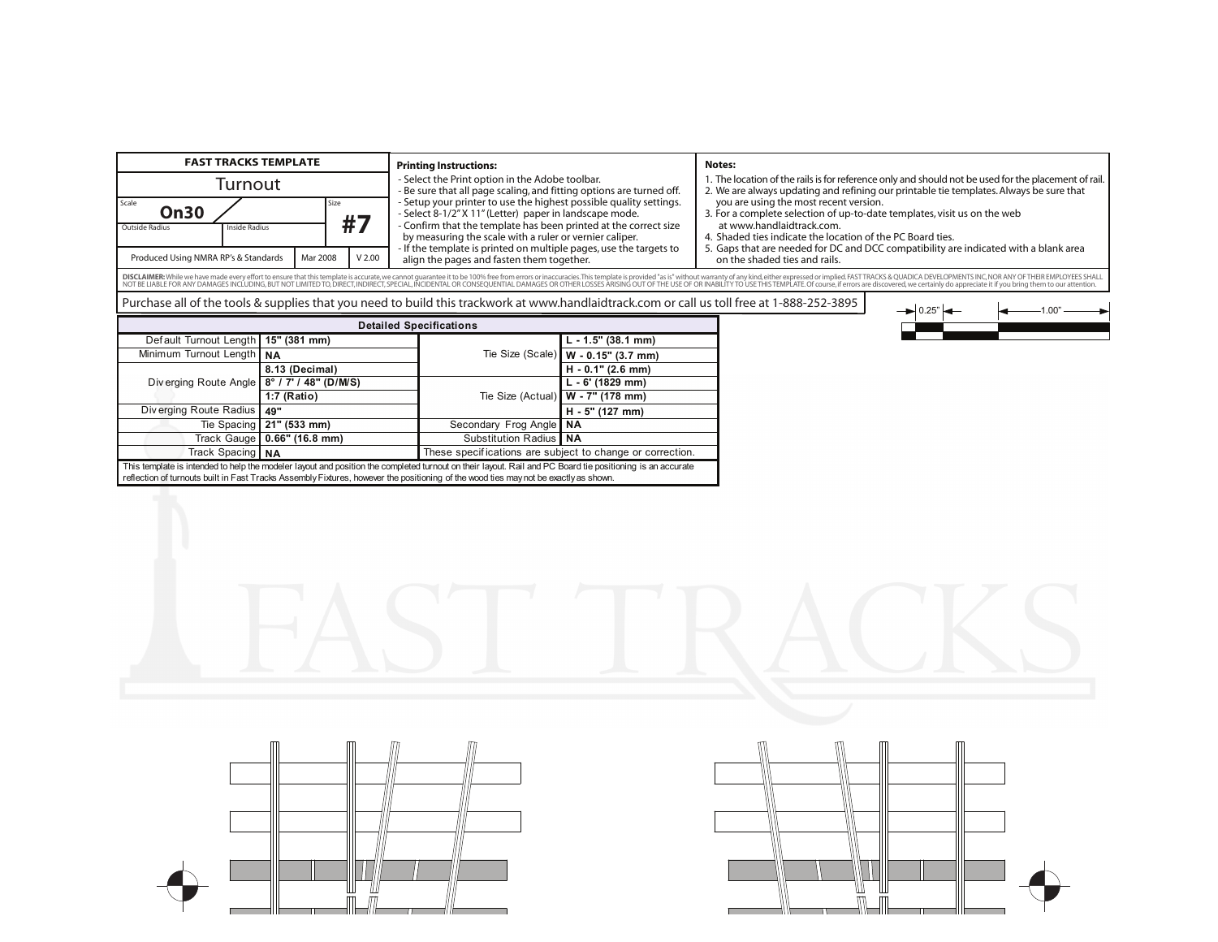



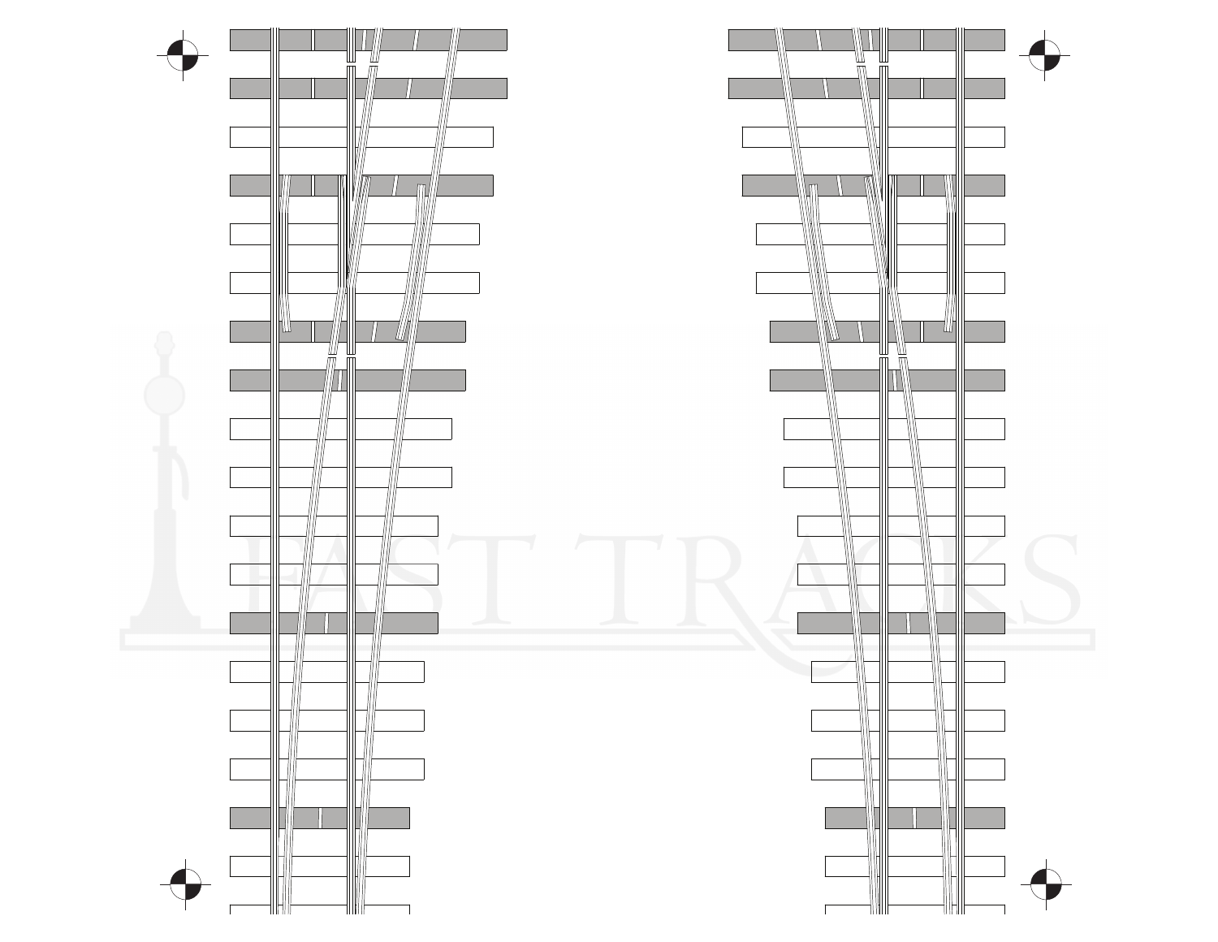